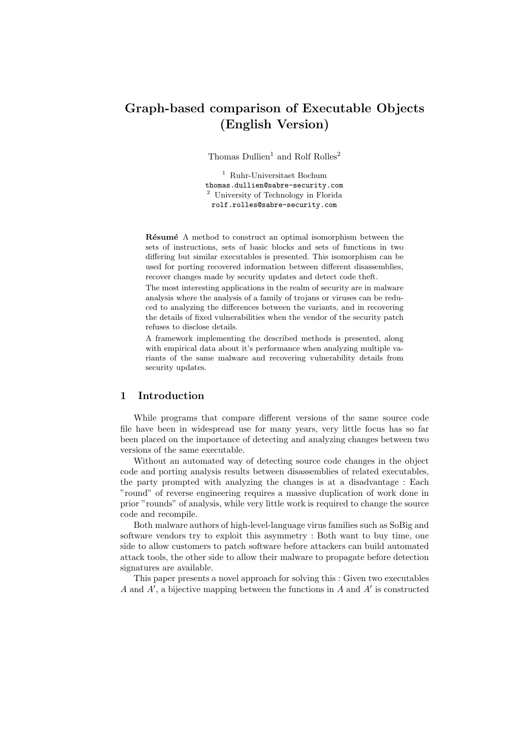# Graph-based comparison of Executable Objects (English Version)

Thomas Dullien<sup>1</sup> and Rolf Rolles<sup>2</sup>

<sup>1</sup> Ruhr-Universitaet Bochum thomas.dullien@sabre-security.com <sup>2</sup> University of Technology in Florida rolf.rolles@sabre-security.com

Résumé A method to construct an optimal isomorphism between the sets of instructions, sets of basic blocks and sets of functions in two differing but similar executables is presented. This isomorphism can be used for porting recovered information between different disassemblies, recover changes made by security updates and detect code theft.

The most interesting applications in the realm of security are in malware analysis where the analysis of a family of trojans or viruses can be reduced to analyzing the differences between the variants, and in recovering the details of fixed vulnerabilities when the vendor of the security patch refuses to disclose details.

A framework implementing the described methods is presented, along with empirical data about it's performance when analyzing multiple variants of the same malware and recovering vulnerability details from security updates.

# 1 Introduction

While programs that compare different versions of the same source code file have been in widespread use for many years, very little focus has so far been placed on the importance of detecting and analyzing changes between two versions of the same executable.

Without an automated way of detecting source code changes in the object code and porting analysis results between disassemblies of related executables, the party prompted with analyzing the changes is at a disadvantage : Each "round" of reverse engineering requires a massive duplication of work done in prior "rounds" of analysis, while very little work is required to change the source code and recompile.

Both malware authors of high-level-language virus families such as SoBig and software vendors try to exploit this asymmetry : Both want to buy time, one side to allow customers to patch software before attackers can build automated attack tools, the other side to allow their malware to propagate before detection signatures are available.

This paper presents a novel approach for solving this : Given two executables A and  $A'$ , a bijective mapping between the functions in A and A' is constructed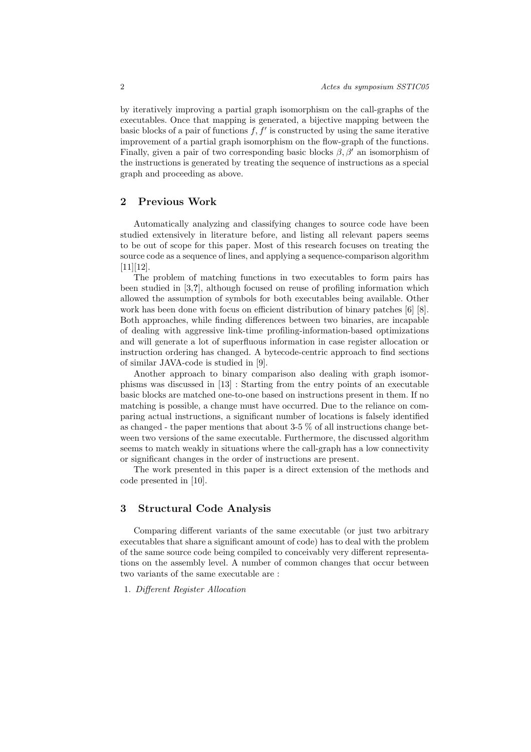by iteratively improving a partial graph isomorphism on the call-graphs of the executables. Once that mapping is generated, a bijective mapping between the basic blocks of a pair of functions  $f, f'$  is constructed by using the same iterative improvement of a partial graph isomorphism on the flow-graph of the functions. Finally, given a pair of two corresponding basic blocks  $\beta$ ,  $\beta'$  an isomorphism of the instructions is generated by treating the sequence of instructions as a special graph and proceeding as above.

# 2 Previous Work

Automatically analyzing and classifying changes to source code have been studied extensively in literature before, and listing all relevant papers seems to be out of scope for this paper. Most of this research focuses on treating the source code as a sequence of lines, and applying a sequence-comparison algorithm  $[11][12]$ .

The problem of matching functions in two executables to form pairs has been studied in [3,?], although focused on reuse of profiling information which allowed the assumption of symbols for both executables being available. Other work has been done with focus on efficient distribution of binary patches [6] [8]. Both approaches, while finding differences between two binaries, are incapable of dealing with aggressive link-time profiling-information-based optimizations and will generate a lot of superfluous information in case register allocation or instruction ordering has changed. A bytecode-centric approach to find sections of similar JAVA-code is studied in [9].

Another approach to binary comparison also dealing with graph isomorphisms was discussed in [13] : Starting from the entry points of an executable basic blocks are matched one-to-one based on instructions present in them. If no matching is possible, a change must have occurred. Due to the reliance on comparing actual instructions, a significant number of locations is falsely identified as changed - the paper mentions that about 3-5 % of all instructions change between two versions of the same executable. Furthermore, the discussed algorithm seems to match weakly in situations where the call-graph has a low connectivity or significant changes in the order of instructions are present.

The work presented in this paper is a direct extension of the methods and code presented in [10].

## 3 Structural Code Analysis

Comparing different variants of the same executable (or just two arbitrary executables that share a significant amount of code) has to deal with the problem of the same source code being compiled to conceivably very different representations on the assembly level. A number of common changes that occur between two variants of the same executable are :

1. Different Register Allocation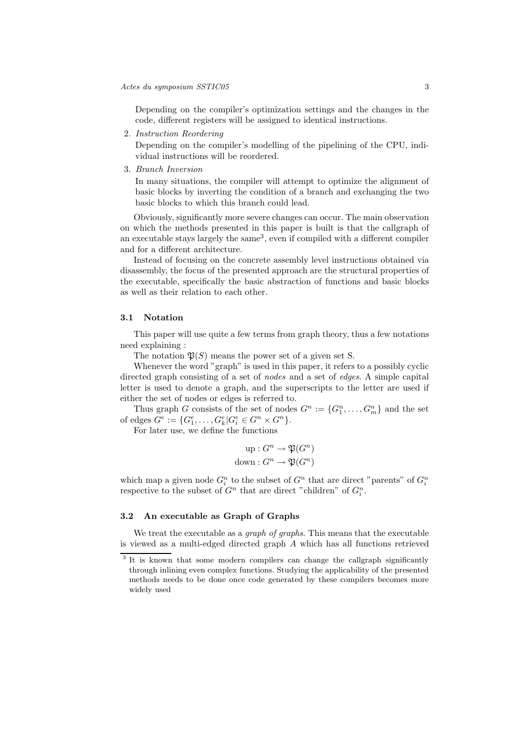Depending on the compiler's optimization settings and the changes in the code, different registers will be assigned to identical instructions.

2. Instruction Reordering

Depending on the compiler's modelling of the pipelining of the CPU, individual instructions will be reordered.

3. Branch Inversion

In many situations, the compiler will attempt to optimize the alignment of basic blocks by inverting the condition of a branch and exchanging the two basic blocks to which this branch could lead.

Obviously, significantly more severe changes can occur. The main observation on which the methods presented in this paper is built is that the callgraph of an executable stays largely the same<sup>3</sup>, even if compiled with a different compiler and for a different architecture.

Instead of focusing on the concrete assembly level instructions obtained via disassembly, the focus of the presented approach are the structural properties of the executable, specifically the basic abstraction of functions and basic blocks as well as their relation to each other.

#### 3.1 Notation

This paper will use quite a few terms from graph theory, thus a few notations need explaining :

The notation  $\mathfrak{P}(S)$  means the power set of a given set S.

Whenever the word "graph" is used in this paper, it refers to a possibly cyclic directed graph consisting of a set of *nodes* and a set of *edges*. A simple capital letter is used to denote a graph, and the superscripts to the letter are used if either the set of nodes or edges is referred to.

Thus graph G consists of the set of nodes  $G^n := \{G_1^n, \ldots, G_m^n\}$  and the set of edges  $G^e := \{G_1^e, \ldots, G_k^e | G_i^e \in G^n \times G^n\}.$ 

For later use, we define the functions

$$
up: G^n \to \mathfrak{P}(G^n)
$$
  
down:  $G^n \to \mathfrak{P}(G^n)$ 

which map a given node  $G_i^n$  to the subset of  $G^n$  that are direct "parents" of  $G_i^n$ respective to the subset of  $G^n$  that are direct "children" of  $G_i^n$ .

## 3.2 An executable as Graph of Graphs

We treat the executable as a *graph of graphs*. This means that the executable is viewed as a multi-edged directed graph A which has all functions retrieved

<sup>&</sup>lt;sup>3</sup> It is known that some modern compilers can change the callgraph significantly through inlining even complex functions. Studying the applicability of the presented methods needs to be done once code generated by these compilers becomes more widely used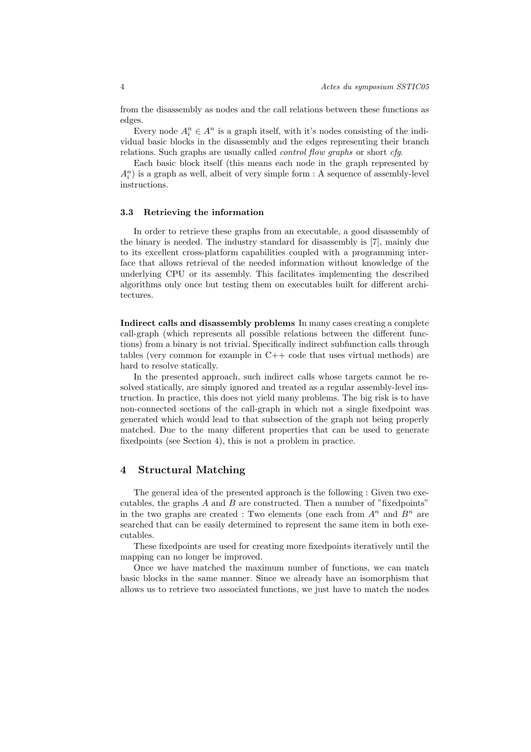from the disassembly as nodes and the call relations between these functions as edges.

Every node  $A_i^n \in A^n$  is a graph itself, with it's nodes consisting of the individual basic blocks in the disassembly and the edges representing their branch relations. Such graphs are usually called *control flow graphs* or short *cfg*.

Each basic block itself (this means each node in the graph represented by  $A_i^n$ ) is a graph as well, albeit of very simple form : A sequence of assembly-level instructions.

#### 3.3 Retrieving the information

In order to retrieve these graphs from an executable, a good disassembly of the binary is needed. The industry standard for disassembly is [7], mainly due to its excellent cross-platform capabilities coupled with a programming interface that allows retrieval of the needed information without knowledge of the underlying CPU or its assembly. This facilitates implementing the described algorithms only once but testing them on executables built for different architectures.

Indirect calls and disassembly problems In many cases creating a complete call-graph (which represents all possible relations between the different functions) from a binary is not trivial. Specifically indirect subfunction calls through tables (very common for example in  $C++$  code that uses virtual methods) are hard to resolve statically.

In the presented approach, such indirect calls whose targets cannot be resolved statically, are simply ignored and treated as a regular assembly-level instruction. In practice, this does not yield many problems. The big risk is to have non-connected sections of the call-graph in which not a single fixedpoint was generated which would lead to that subsection of the graph not being properly matched. Due to the many different properties that can be used to generate fixedpoints (see Section 4), this is not a problem in practice.

## 4 Structural Matching

The general idea of the presented approach is the following : Given two executables, the graphs  $A$  and  $B$  are constructed. Then a number of "fixedpoints" in the two graphs are created : Two elements (one each from  $A^n$  and  $B^n$  are searched that can be easily determined to represent the same item in both executables.

These fixedpoints are used for creating more fixedpoints iteratively until the mapping can no longer be improved.

Once we have matched the maximum number of functions, we can match basic blocks in the same manner. Since we already have an isomorphism that allows us to retrieve two associated functions, we just have to match the nodes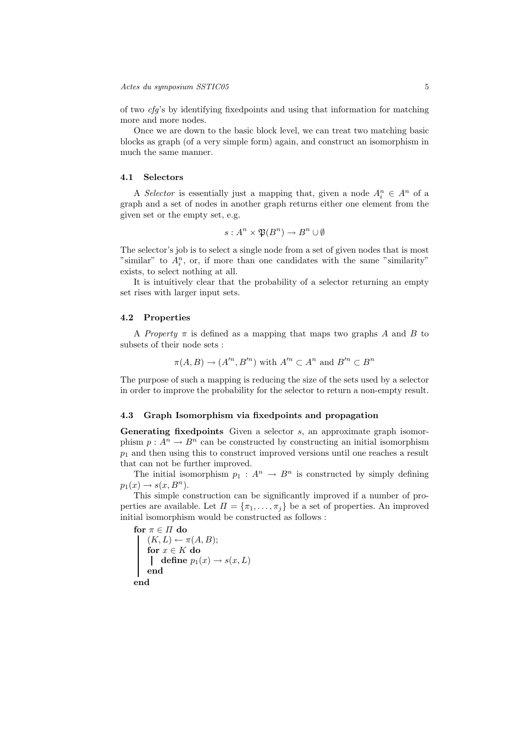of two  $cfg$ 's by identifying fixed points and using that information for matching more and more nodes.

Once we are down to the basic block level, we can treat two matching basic blocks as graph (of a very simple form) again, and construct an isomorphism in much the same manner.

#### 4.1 Selectors

A Selector is essentially just a mapping that, given a node  $A_i^n \in A^n$  of a graph and a set of nodes in another graph returns either one element from the given set or the empty set, e.g.

$$
s: A^n \times \mathfrak{P}(B^n) \to B^n \cup \emptyset
$$

The selector's job is to select a single node from a set of given nodes that is most "similar" to  $A_i^n$ , or, if more than one candidates with the same "similarity" exists, to select nothing at all.

It is intuitively clear that the probability of a selector returning an empty set rises with larger input sets.

#### 4.2 Properties

A *Property*  $\pi$  is defined as a mapping that maps two graphs A and B to subsets of their node sets :

$$
\pi(A, B) \to (A'^n, B'^n)
$$
 with  $A'^n \subset A^n$  and  $B'^n \subset B^n$ 

The purpose of such a mapping is reducing the size of the sets used by a selector in order to improve the probability for the selector to return a non-empty result.

#### 4.3 Graph Isomorphism via fixedpoints and propagation

Generating fixedpoints Given a selector s, an approximate graph isomorphism  $p : A^n \to B^n$  can be constructed by constructing an initial isomorphism  $p_1$  and then using this to construct improved versions until one reaches a result that can not be further improved.

The initial isomorphism  $p_1 : A^n \to B^n$  is constructed by simply defining  $p_1(x) \rightarrow s(x, B^n)$ .

This simple construction can be significantly improved if a number of properties are available. Let  $\Pi = {\pi_1, \ldots, \pi_j}$  be a set of properties. An improved initial isomorphism would be constructed as follows :

for  $\pi\in\Pi$  do  $(K, L) \leftarrow \pi(A, B);$ for  $x \in K$  do define  $p_1(x) \rightarrow s(x,L)$ end end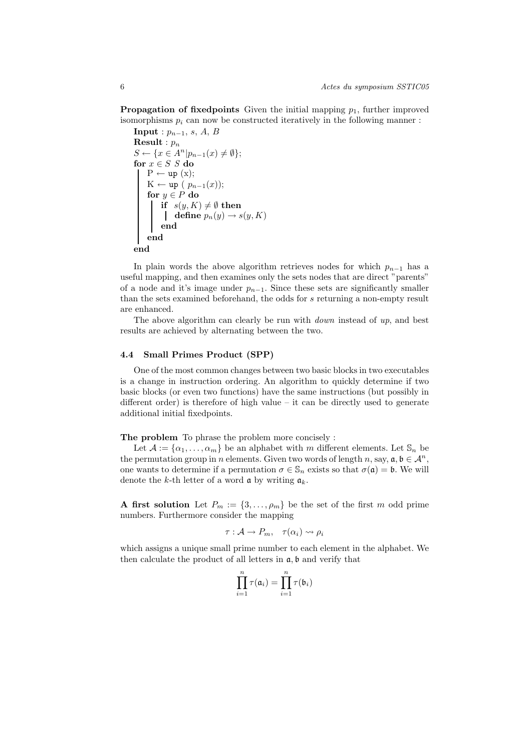**Propagation of fixedpoints** Given the initial mapping  $p_1$ , further improved isomorphisms  $p_i$  can now be constructed iteratively in the following manner :

```
Input : p_{n-1}, s, A, B
Result : p_nS \leftarrow \{x \in A^n | p_{n-1}(x) \neq \emptyset \};for x \in S S do
    P \leftarrow up(x);K ← up ( p_{n-1}(x));
     for y \in P do
          \mathbf{if} \ \ s(y, K) \neq \emptyset \ \mathbf{then}define p_n(y) \to s(y,K)end
    end
end
```
In plain words the above algorithm retrieves nodes for which  $p_{n-1}$  has a useful mapping, and then examines only the sets nodes that are direct "parents" of a node and it's image under  $p_{n-1}$ . Since these sets are significantly smaller than the sets examined beforehand, the odds for s returning a non-empty result are enhanced.

The above algorithm can clearly be run with *down* instead of  $up$ , and best results are achieved by alternating between the two.

## 4.4 Small Primes Product (SPP)

One of the most common changes between two basic blocks in two executables is a change in instruction ordering. An algorithm to quickly determine if two basic blocks (or even two functions) have the same instructions (but possibly in different order) is therefore of high value – it can be directly used to generate additional initial fixedpoints.

The problem To phrase the problem more concisely :

Let  $\mathcal{A} := {\alpha_1, \ldots, \alpha_m}$  be an alphabet with m different elements. Let  $\mathcal{S}_n$  be the permutation group in n elements. Given two words of length n, say,  $a, b \in \mathcal{A}^n$ , one wants to determine if a permutation  $\sigma \in \mathbb{S}_n$  exists so that  $\sigma(\mathfrak{a}) = \mathfrak{b}$ . We will denote the k-th letter of a word  $\alpha$  by writing  $\alpha_k$ .

A first solution Let  $P_m := \{3, \ldots, \rho_m\}$  be the set of the first m odd prime numbers. Furthermore consider the mapping

$$
\tau: \mathcal{A} \to P_m, \quad \tau(\alpha_i) \rightsquigarrow \rho_i
$$

which assigns a unique small prime number to each element in the alphabet. We then calculate the product of all letters in  $a, b$  and verify that

$$
\prod_{i=1}^n \tau(\mathfrak{a}_i) = \prod_{i=1}^n \tau(\mathfrak{b}_i)
$$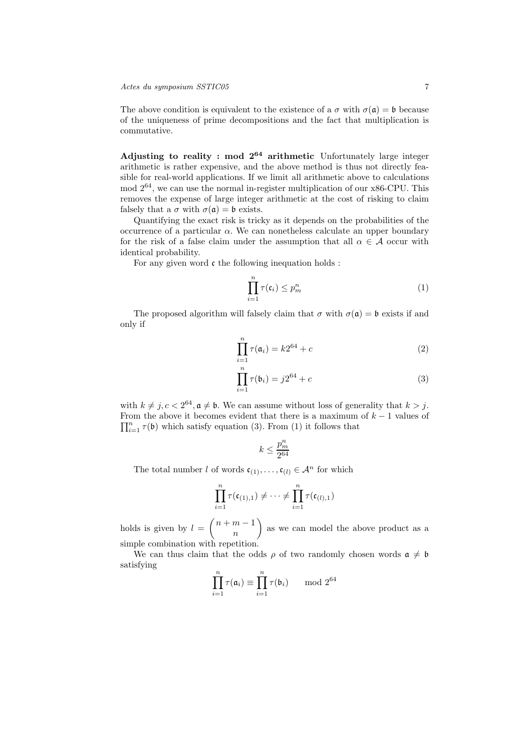The above condition is equivalent to the existence of a  $\sigma$  with  $\sigma(\mathfrak{a}) = \mathfrak{b}$  because of the uniqueness of prime decompositions and the fact that multiplication is commutative.

Adjusting to reality : mod  $2^{64}$  arithmetic Unfortunately large integer arithmetic is rather expensive, and the above method is thus not directly feasible for real-world applications. If we limit all arithmetic above to calculations mod  $2^{64}$ , we can use the normal in-register multiplication of our x86-CPU. This removes the expense of large integer arithmetic at the cost of risking to claim falsely that a  $\sigma$  with  $\sigma(\mathfrak{a}) = \mathfrak{b}$  exists.

Quantifying the exact risk is tricky as it depends on the probabilities of the occurrence of a particular  $\alpha$ . We can nonetheless calculate an upper boundary for the risk of a false claim under the assumption that all  $\alpha \in \mathcal{A}$  occur with identical probability.

For any given word  $\mathfrak c$  the following inequation holds :

$$
\prod_{i=1}^{n} \tau(\mathfrak{c}_i) \le p_m^n \tag{1}
$$

The proposed algorithm will falsely claim that  $\sigma$  with  $\sigma(\mathfrak{a}) = \mathfrak{b}$  exists if and only if

$$
\prod_{i=1}^{n} \tau(\mathfrak{a}_i) = k2^{64} + c \tag{2}
$$

$$
\prod_{i=1}^{n} \tau(\mathfrak{b}_i) = j2^{64} + c \tag{3}
$$

with  $k \neq j, c < 2^{64}, \mathfrak{a} \neq \mathfrak{b}$ . We can assume without loss of generality that  $k > j$ . From the above it becomes evident that there is a maximum of  $k-1$  values of  $\prod_{i=1}^{n} \tau(\mathfrak{b})$  which satisfy equation (3). From (1) it follows that

$$
k\leq \frac{p_m^n}{2^{64}}
$$

The total number l of words  $\mathfrak{c}_{(1)}, \ldots, \mathfrak{c}_{(l)} \in \mathcal{A}^n$  for which

$$
\prod_{i=1}^n \tau(\mathfrak{c}_{(1),1}) \neq \cdots \neq \prod_{i=1}^n \tau(\mathfrak{c}_{(l),1})
$$

holds is given by  $l = \binom{n+m-1}{n}$ n as we can model the above product as a simple combination with repetition.

We can thus claim that the odds  $\rho$  of two randomly chosen words  $\mathfrak{a} \neq \mathfrak{b}$ satisfying

$$
\prod_{i=1}^{n} \tau(\mathfrak{a}_i) \equiv \prod_{i=1}^{n} \tau(\mathfrak{b}_i) \quad \mod 2^{64}
$$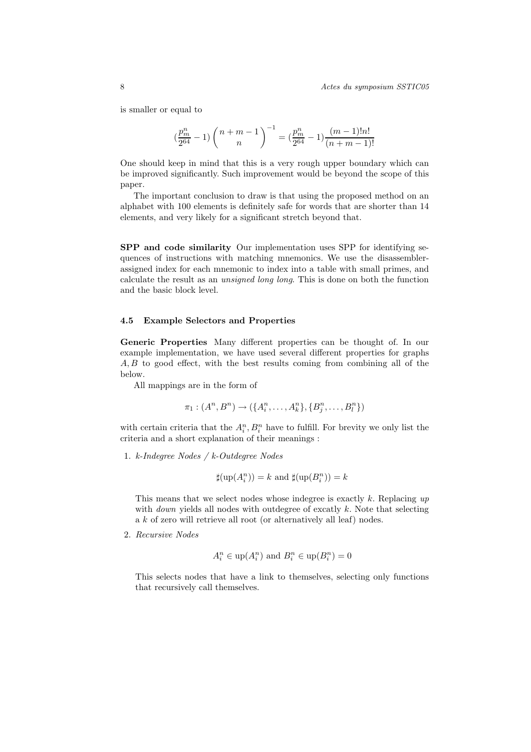is smaller or equal to

$$
(\frac{p_m^n}{2^{64}}-1)\left(\frac{n+m-1}{n}\right)^{-1}=(\frac{p_m^n}{2^{64}}-1)\frac{(m-1)!n!}{(n+m-1)!}
$$

One should keep in mind that this is a very rough upper boundary which can be improved significantly. Such improvement would be beyond the scope of this paper.

The important conclusion to draw is that using the proposed method on an alphabet with 100 elements is definitely safe for words that are shorter than 14 elements, and very likely for a significant stretch beyond that.

SPP and code similarity Our implementation uses SPP for identifying sequences of instructions with matching mnemonics. We use the disassemblerassigned index for each mnemonic to index into a table with small primes, and calculate the result as an unsigned long long. This is done on both the function and the basic block level.

#### 4.5 Example Selectors and Properties

Generic Properties Many different properties can be thought of. In our example implementation, we have used several different properties for graphs A, B to good effect, with the best results coming from combining all of the below.

All mappings are in the form of

$$
\pi_1: (A^n, B^n) \to (\{A_i^n, \ldots, A_k^n\}, \{B_j^n, \ldots, B_l^n\})
$$

with certain criteria that the  $A_i^n$ ,  $B_i^n$  have to fulfill. For brevity we only list the criteria and a short explanation of their meanings :

1. k-Indegree Nodes / k-Outdegree Nodes

$$
\sharp(\mathrm{up}(A_i^n))=k \text{ and } \sharp(\mathrm{up}(B_i^n))=k
$$

This means that we select nodes whose indegree is exactly k. Replacing  $up$ with *down* yields all nodes with outdegree of excatly  $k$ . Note that selecting a k of zero will retrieve all root (or alternatively all leaf) nodes.

2. Recursive Nodes

$$
A_i^n \in \text{up}(A_i^n) \text{ and } B_i^n \in \text{up}(B_i^n) = 0
$$

This selects nodes that have a link to themselves, selecting only functions that recursively call themselves.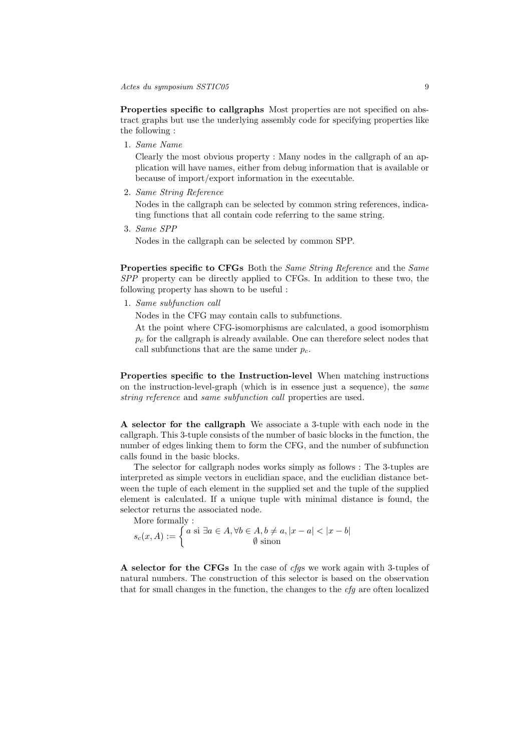Properties specific to callgraphs Most properties are not specified on abstract graphs but use the underlying assembly code for specifying properties like the following :

1. Same Name

Clearly the most obvious property : Many nodes in the callgraph of an application will have names, either from debug information that is available or because of import/export information in the executable.

2. Same String Reference

Nodes in the callgraph can be selected by common string references, indicating functions that all contain code referring to the same string.

3. Same SPP

Nodes in the callgraph can be selected by common SPP.

Properties specific to CFGs Both the Same String Reference and the Same SPP property can be directly applied to CFGs. In addition to these two, the following property has shown to be useful :

1. Same subfunction call

Nodes in the CFG may contain calls to subfunctions.

At the point where CFG-isomorphisms are calculated, a good isomorphism  $p_c$  for the callgraph is already available. One can therefore select nodes that call subfunctions that are the same under  $p_c$ .

Properties specific to the Instruction-level When matching instructions on the instruction-level-graph (which is in essence just a sequence), the same string reference and same subfunction call properties are used.

A selector for the callgraph We associate a 3-tuple with each node in the callgraph. This 3-tuple consists of the number of basic blocks in the function, the number of edges linking them to form the CFG, and the number of subfunction calls found in the basic blocks.

The selector for callgraph nodes works simply as follows : The 3-tuples are interpreted as simple vectors in euclidian space, and the euclidian distance between the tuple of each element in the supplied set and the tuple of the supplied element is calculated. If a unique tuple with minimal distance is found, the selector returns the associated node.

More formally :

$$
s_c(x, A) := \begin{cases} a \text{ si } \exists a \in A, \forall b \in A, b \neq a, |x - a| < |x - b| \\ \emptyset \text{ sinon} \end{cases}
$$

A selector for the CFGs In the case of cfgs we work again with 3-tuples of natural numbers. The construction of this selector is based on the observation that for small changes in the function, the changes to the cfg are often localized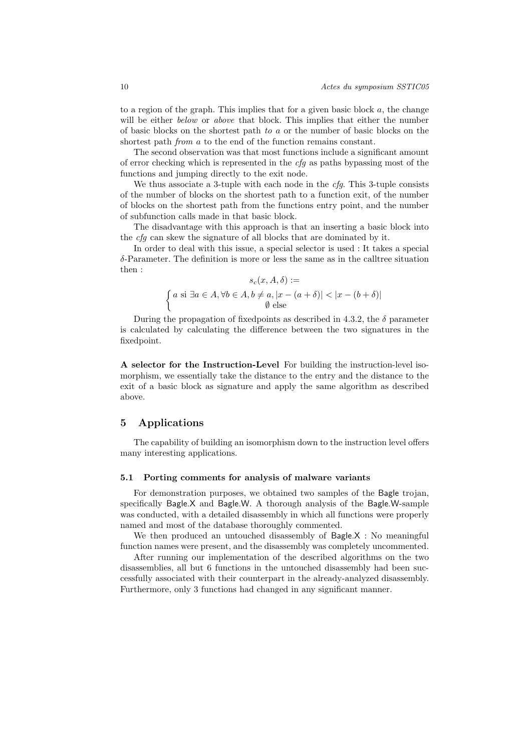to a region of the graph. This implies that for a given basic block  $a$ , the change will be either *below* or *above* that block. This implies that either the number of basic blocks on the shortest path to a or the number of basic blocks on the shortest path *from a* to the end of the function remains constant.

The second observation was that most functions include a significant amount of error checking which is represented in the cfg as paths bypassing most of the functions and jumping directly to the exit node.

We thus associate a 3-tuple with each node in the  $cfg$ . This 3-tuple consists of the number of blocks on the shortest path to a function exit, of the number of blocks on the shortest path from the functions entry point, and the number of subfunction calls made in that basic block.

The disadvantage with this approach is that an inserting a basic block into the cfg can skew the signature of all blocks that are dominated by it.

In order to deal with this issue, a special selector is used : It takes a special  $\delta$ -Parameter. The definition is more or less the same as in the calltree situation then :

$$
s_c(x, A, \delta) :=
$$
  

$$
\begin{cases} a \text{ si } \exists a \in A, \forall b \in A, b \neq a, |x - (a + \delta)| < |x - (b + \delta)| \\ \emptyset \text{ else} \end{cases}
$$

During the propagation of fixed points as described in 4.3.2, the  $\delta$  parameter is calculated by calculating the difference between the two signatures in the fixedpoint.

A selector for the Instruction-Level For building the instruction-level isomorphism, we essentially take the distance to the entry and the distance to the exit of a basic block as signature and apply the same algorithm as described above.

# 5 Applications

The capability of building an isomorphism down to the instruction level offers many interesting applications.

#### 5.1 Porting comments for analysis of malware variants

For demonstration purposes, we obtained two samples of the Bagle trojan, specifically Bagle.X and Bagle.W. A thorough analysis of the Bagle.W-sample was conducted, with a detailed disassembly in which all functions were properly named and most of the database thoroughly commented.

We then produced an untouched disassembly of Bagle.X : No meaningful function names were present, and the disassembly was completely uncommented.

After running our implementation of the described algorithms on the two disassemblies, all but 6 functions in the untouched disassembly had been successfully associated with their counterpart in the already-analyzed disassembly. Furthermore, only 3 functions had changed in any significant manner.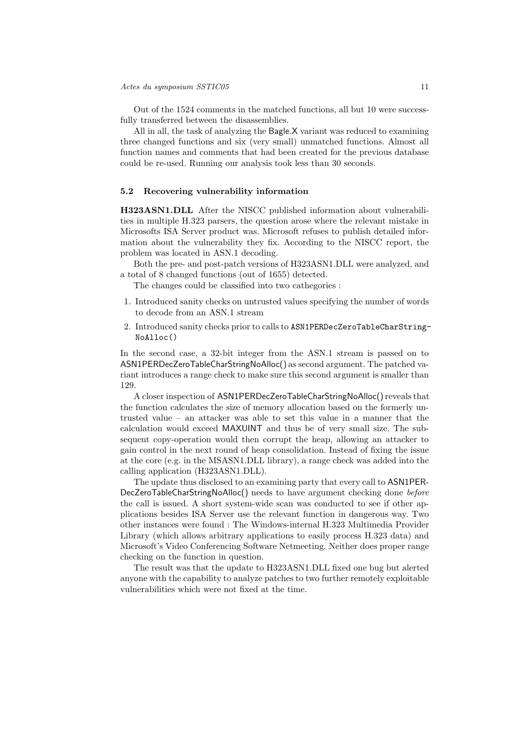Out of the 1524 comments in the matched functions, all but 10 were successfully transferred between the disassemblies.

All in all, the task of analyzing the Bagle.X variant was reduced to examining three changed functions and six (very small) unmatched functions. Almost all function names and comments that had been created for the previous database could be re-used. Running our analysis took less than 30 seconds.

#### 5.2 Recovering vulnerability information

H323ASN1.DLL After the NISCC published information about vulnerabilities in multiple H.323 parsers, the question arose where the relevant mistake in Microsofts ISA Server product was. Microsoft refuses to publish detailed information about the vulnerability they fix. According to the NISCC report, the problem was located in ASN.1 decoding.

Both the pre- and post-patch versions of H323ASN1.DLL were analyzed, and a total of 8 changed functions (out of 1655) detected.

The changes could be classified into two cathegories :

- 1. Introduced sanity checks on untrusted values specifying the number of words to decode from an ASN.1 stream
- 2. Introduced sanity checks prior to calls to ASN1PERDecZeroTableCharString-NoAlloc()

In the second case, a 32-bit integer from the ASN.1 stream is passed on to ASN1PERDecZeroTableCharStringNoAlloc() as second argument. The patched variant introduces a range check to make sure this second argument is smaller than 129.

A closer inspection of ASN1PERDecZeroTableCharStringNoAlloc() reveals that the function calculates the size of memory allocation based on the formerly untrusted value – an attacker was able to set this value in a manner that the calculation would exceed MAXUINT and thus be of very small size. The subsequent copy-operation would then corrupt the heap, allowing an attacker to gain control in the next round of heap consolidation. Instead of fixing the issue at the core (e.g. in the MSASN1.DLL library), a range check was added into the calling application (H323ASN1.DLL).

The update thus disclosed to an examining party that every call to ASN1PER-DecZeroTableCharStringNoAlloc() needs to have argument checking done before the call is issued. A short system-wide scan was conducted to see if other applications besides ISA Server use the relevant function in dangerous way. Two other instances were found : The Windows-internal H.323 Multimedia Provider Library (which allows arbitrary applications to easily process H.323 data) and Microsoft's Video Conferencing Software Netmeeting. Neither does proper range checking on the function in question.

The result was that the update to H323ASN1.DLL fixed one bug but alerted anyone with the capability to analyze patches to two further remotely exploitable vulnerabilities which were not fixed at the time.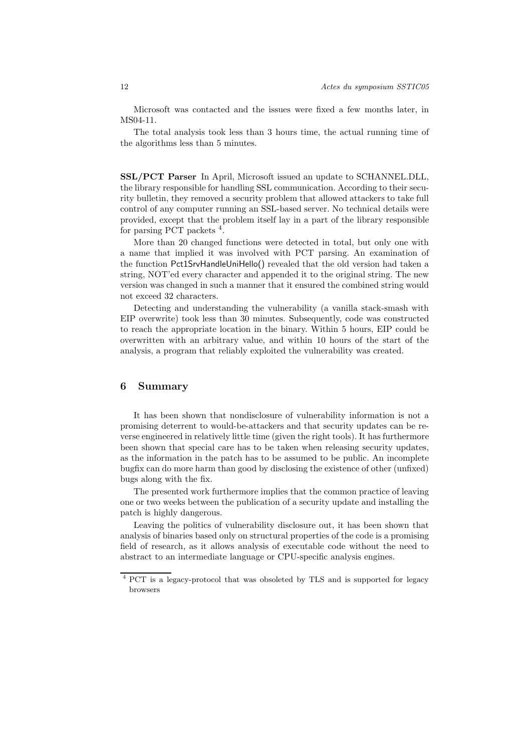Microsoft was contacted and the issues were fixed a few months later, in MS04-11.

The total analysis took less than 3 hours time, the actual running time of the algorithms less than 5 minutes.

SSL/PCT Parser In April, Microsoft issued an update to SCHANNEL.DLL, the library responsible for handling SSL communication. According to their security bulletin, they removed a security problem that allowed attackers to take full control of any computer running an SSL-based server. No technical details were provided, except that the problem itself lay in a part of the library responsible for parsing PCT packets <sup>4</sup>.

More than 20 changed functions were detected in total, but only one with a name that implied it was involved with PCT parsing. An examination of the function Pct1SrvHandleUniHello() revealed that the old version had taken a string, NOT'ed every character and appended it to the original string. The new version was changed in such a manner that it ensured the combined string would not exceed 32 characters.

Detecting and understanding the vulnerability (a vanilla stack-smash with EIP overwrite) took less than 30 minutes. Subsequently, code was constructed to reach the appropriate location in the binary. Within 5 hours, EIP could be overwritten with an arbitrary value, and within 10 hours of the start of the analysis, a program that reliably exploited the vulnerability was created.

# 6 Summary

It has been shown that nondisclosure of vulnerability information is not a promising deterrent to would-be-attackers and that security updates can be reverse engineered in relatively little time (given the right tools). It has furthermore been shown that special care has to be taken when releasing security updates, as the information in the patch has to be assumed to be public. An incomplete bugfix can do more harm than good by disclosing the existence of other (unfixed) bugs along with the fix.

The presented work furthermore implies that the common practice of leaving one or two weeks between the publication of a security update and installing the patch is highly dangerous.

Leaving the politics of vulnerability disclosure out, it has been shown that analysis of binaries based only on structural properties of the code is a promising field of research, as it allows analysis of executable code without the need to abstract to an intermediate language or CPU-specific analysis engines.

<sup>4</sup> PCT is a legacy-protocol that was obsoleted by TLS and is supported for legacy browsers